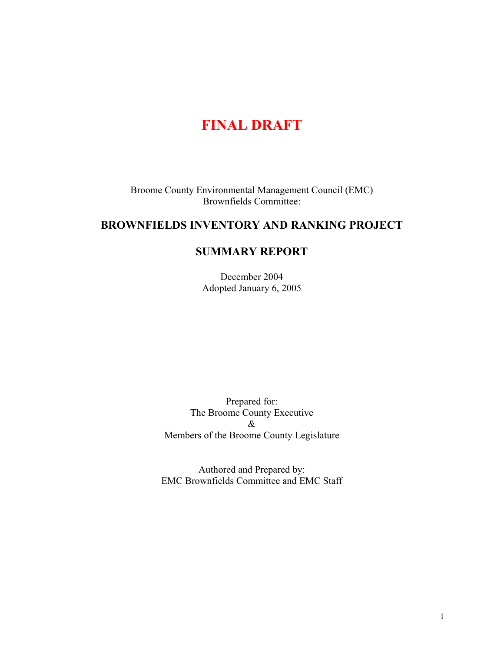# **FINAL DRAFT**

Broome County Environmental Management Council (EMC) Brownfields Committee:

## **BROWNFIELDS INVENTORY AND RANKING PROJECT**

### **SUMMARY REPORT**

December 2004 Adopted January 6, 2005

Prepared for: The Broome County Executive & Members of the Broome County Legislature

Authored and Prepared by: EMC Brownfields Committee and EMC Staff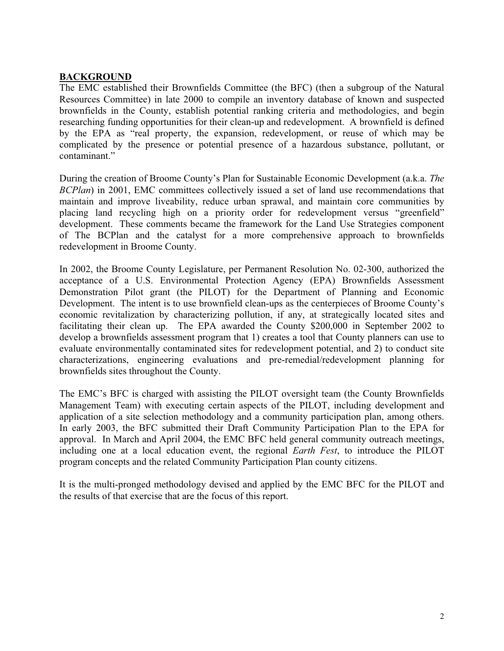#### **BACKGROUND**

The EMC established their Brownfields Committee (the BFC) (then a subgroup of the Natural Resources Committee) in late 2000 to compile an inventory database of known and suspected brownfields in the County, establish potential ranking criteria and methodologies, and begin researching funding opportunities for their clean-up and redevelopment. A brownfield is defined by the EPA as "real property, the expansion, redevelopment, or reuse of which may be complicated by the presence or potential presence of a hazardous substance, pollutant, or contaminant."

During the creation of Broome County's Plan for Sustainable Economic Development (a.k.a. *The BCPlan*) in 2001, EMC committees collectively issued a set of land use recommendations that maintain and improve liveability, reduce urban sprawal, and maintain core communities by placing land recycling high on a priority order for redevelopment versus "greenfield" development. These comments became the framework for the Land Use Strategies component of The BCPlan and the catalyst for a more comprehensive approach to brownfields redevelopment in Broome County.

In 2002, the Broome County Legislature, per Permanent Resolution No. 02-300, authorized the acceptance of a U.S. Environmental Protection Agency (EPA) Brownfields Assessment Demonstration Pilot grant (the PILOT) for the Department of Planning and Economic Development. The intent is to use brownfield clean-ups as the centerpieces of Broome County's economic revitalization by characterizing pollution, if any, at strategically located sites and facilitating their clean up. The EPA awarded the County \$200,000 in September 2002 to develop a brownfields assessment program that 1) creates a tool that County planners can use to evaluate environmentally contaminated sites for redevelopment potential, and 2) to conduct site characterizations, engineering evaluations and pre-remedial/redevelopment planning for brownfields sites throughout the County.

The EMC's BFC is charged with assisting the PILOT oversight team (the County Brownfields Management Team) with executing certain aspects of the PILOT, including development and application of a site selection methodology and a community participation plan, among others. In early 2003, the BFC submitted their Draft Community Participation Plan to the EPA for approval. In March and April 2004, the EMC BFC held general community outreach meetings, including one at a local education event, the regional *Earth Fest*, to introduce the PILOT program concepts and the related Community Participation Plan county citizens.

It is the multi-pronged methodology devised and applied by the EMC BFC for the PILOT and the results of that exercise that are the focus of this report.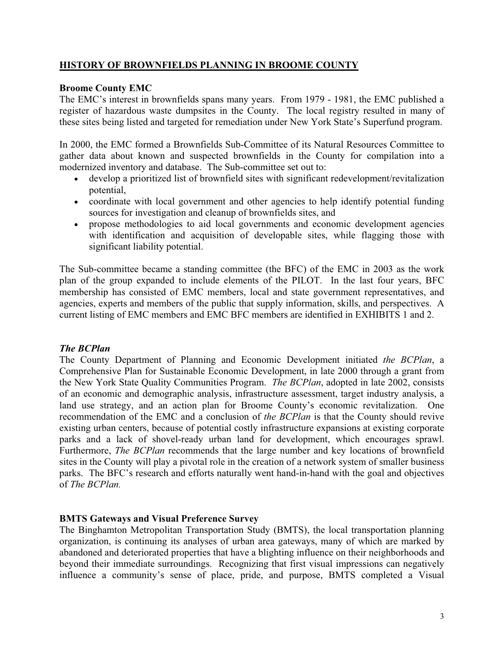### **HISTORY OF BROWNFIELDS PLANNING IN BROOME COUNTY**

#### **Broome County EMC**

The EMC's interest in brownfields spans many years. From 1979 - 1981, the EMC published a register of hazardous waste dumpsites in the County. The local registry resulted in many of these sites being listed and targeted for remediation under New York State's Superfund program.

In 2000, the EMC formed a Brownfields Sub-Committee of its Natural Resources Committee to gather data about known and suspected brownfields in the County for compilation into a modernized inventory and database. The Sub-committee set out to:

- develop a prioritized list of brownfield sites with significant redevelopment/revitalization potential,  $\bullet$
- coordinate with local government and other agencies to help identify potential funding sources for investigation and cleanup of brownfields sites, and
- $\bullet$ propose methodologies to aid local governments and economic development agencies with identification and acquisition of developable sites, while flagging those with significant liability potential.

The Sub-committee became a standing committee (the BFC) of the EMC in 2003 as the work plan of the group expanded to include elements of the PILOT. In the last four years, BFC membership has consisted of EMC members, local and state government representatives, and agencies, experts and members of the public that supply information, skills, and perspectives. A current listing of EMC members and EMC BFC members are identified in EXHIBITS 1 and 2.

### *The BCPlan*

The County Department of Planning and Economic Development initiated *the BCPlan*, a Comprehensive Plan for Sustainable Economic Development, in late 2000 through a grant from the New York State Quality Communities Program. *The BCPlan*, adopted in late 2002, consists of an economic and demographic analysis, infrastructure assessment, target industry analysis, a land use strategy, and an action plan for Broome County's economic revitalization. One recommendation of the EMC and a conclusion of *the BCPlan* is that the County should revive existing urban centers, because of potential costly infrastructure expansions at existing corporate parks and a lack of shovel-ready urban land for development, which encourages sprawl. Furthermore, *The BCPlan* recommends that the large number and key locations of brownfield sites in the County will play a pivotal role in the creation of a network system of smaller business parks. The BFC's research and efforts naturally went hand-in-hand with the goal and objectives of *The BCPlan.* 

#### **BMTS Gateways and Visual Preference Survey**

The Binghamton Metropolitan Transportation Study (BMTS), the local transportation planning organization, is continuing its analyses of urban area gateways, many of which are marked by abandoned and deteriorated properties that have a blighting influence on their neighborhoods and beyond their immediate surroundings. Recognizing that first visual impressions can negatively influence a community's sense of place, pride, and purpose, BMTS completed a Visual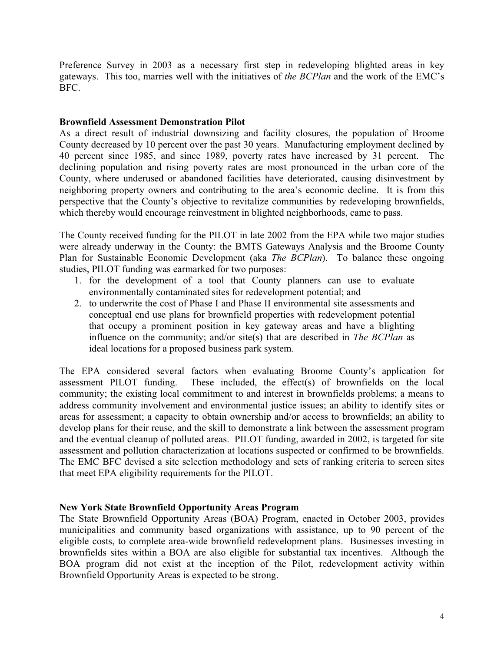Preference Survey in 2003 as a necessary first step in redeveloping blighted areas in key gateways. This too, marries well with the initiatives of *the BCPlan* and the work of the EMC's BFC.

#### **Brownfield Assessment Demonstration Pilot**

As a direct result of industrial downsizing and facility closures, the population of Broome County decreased by 10 percent over the past 30 years. Manufacturing employment declined by 40 percent since 1985, and since 1989, poverty rates have increased by 31 percent. The declining population and rising poverty rates are most pronounced in the urban core of the County, where underused or abandoned facilities have deteriorated, causing disinvestment by neighboring property owners and contributing to the area's economic decline. It is from this perspective that the County's objective to revitalize communities by redeveloping brownfields, which thereby would encourage reinvestment in blighted neighborhoods, came to pass.

The County received funding for the PILOT in late 2002 from the EPA while two major studies were already underway in the County: the BMTS Gateways Analysis and the Broome County Plan for Sustainable Economic Development (aka *The BCPlan*). To balance these ongoing studies, PILOT funding was earmarked for two purposes:

- 1. for the development of a tool that County planners can use to evaluate environmentally contaminated sites for redevelopment potential; and
- 2. to underwrite the cost of Phase I and Phase II environmental site assessments and conceptual end use plans for brownfield properties with redevelopment potential that occupy a prominent position in key gateway areas and have a blighting influence on the community; and/or site(s) that are described in *The BCPlan* as ideal locations for a proposed business park system.

The EPA considered several factors when evaluating Broome County's application for assessment PILOT funding. These included, the effect(s) of brownfields on the local community; the existing local commitment to and interest in brownfields problems; a means to address community involvement and environmental justice issues; an ability to identify sites or areas for assessment; a capacity to obtain ownership and/or access to brownfields; an ability to develop plans for their reuse, and the skill to demonstrate a link between the assessment program and the eventual cleanup of polluted areas. PILOT funding, awarded in 2002, is targeted for site assessment and pollution characterization at locations suspected or confirmed to be brownfields. The EMC BFC devised a site selection methodology and sets of ranking criteria to screen sites that meet EPA eligibility requirements for the PILOT.

### **New York State Brownfield Opportunity Areas Program**

The State Brownfield Opportunity Areas (BOA) Program, enacted in October 2003, provides municipalities and community based organizations with assistance, up to 90 percent of the eligible costs, to complete area-wide brownfield redevelopment plans. Businesses investing in brownfields sites within a BOA are also eligible for substantial tax incentives. Although the BOA program did not exist at the inception of the Pilot, redevelopment activity within Brownfield Opportunity Areas is expected to be strong.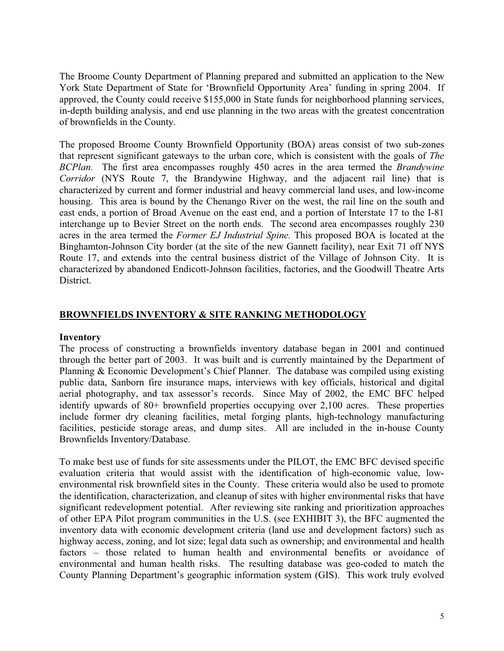The Broome County Department of Planning prepared and submitted an application to the New York State Department of State for 'Brownfield Opportunity Area' funding in spring 2004. If approved, the County could receive \$155,000 in State funds for neighborhood planning services, in-depth building analysis, and end use planning in the two areas with the greatest concentration of brownfields in the County.

The proposed Broome County Brownfield Opportunity (BOA) areas consist of two sub-zones that represent significant gateways to the urban core, which is consistent with the goals of *The BCPlan.* The first area encompasses roughly 450 acres in the area termed the *Brandywine Corridor* (NYS Route 7, the Brandywine Highway, and the adjacent rail line) that is characterized by current and former industrial and heavy commercial land uses, and low-income housing. This area is bound by the Chenango River on the west, the rail line on the south and east ends, a portion of Broad Avenue on the east end, and a portion of Interstate 17 to the I-81 interchange up to Bevier Street on the north ends. The second area encompasses roughly 230 acres in the area termed the *Former EJ Industrial Spine.* This proposed BOA is located at the Binghamton-Johnson City border (at the site of the new Gannett facility), near Exit 71 off NYS Route 17, and extends into the central business district of the Village of Johnson City. It is characterized by abandoned Endicott-Johnson facilities, factories, and the Goodwill Theatre Arts District.

### **BROWNFIELDS INVENTORY & SITE RANKING METHODOLOGY**

#### **Inventory**

The process of constructing a brownfields inventory database began in 2001 and continued through the better part of 2003. It was built and is currently maintained by the Department of Planning & Economic Development's Chief Planner. The database was compiled using existing public data, Sanborn fire insurance maps, interviews with key officials, historical and digital aerial photography, and tax assessor's records. Since May of 2002, the EMC BFC helped identify upwards of 80+ brownfield properties occupying over 2,100 acres. These properties include former dry cleaning facilities, metal forging plants, high-technology manufacturing facilities, pesticide storage areas, and dump sites. All are included in the in-house County Brownfields Inventory/Database.

To make best use of funds for site assessments under the PILOT, the EMC BFC devised specific evaluation criteria that would assist with the identification of high-economic value, lowenvironmental risk brownfield sites in the County. These criteria would also be used to promote the identification, characterization, and cleanup of sites with higher environmental risks that have significant redevelopment potential. After reviewing site ranking and prioritization approaches of other EPA Pilot program communities in the U.S. (see EXHIBIT 3), the BFC augmented the inventory data with economic development criteria (land use and development factors) such as highway access, zoning, and lot size; legal data such as ownership; and environmental and health factors – those related to human health and environmental benefits or avoidance of environmental and human health risks. The resulting database was geo-coded to match the County Planning Department's geographic information system (GIS). This work truly evolved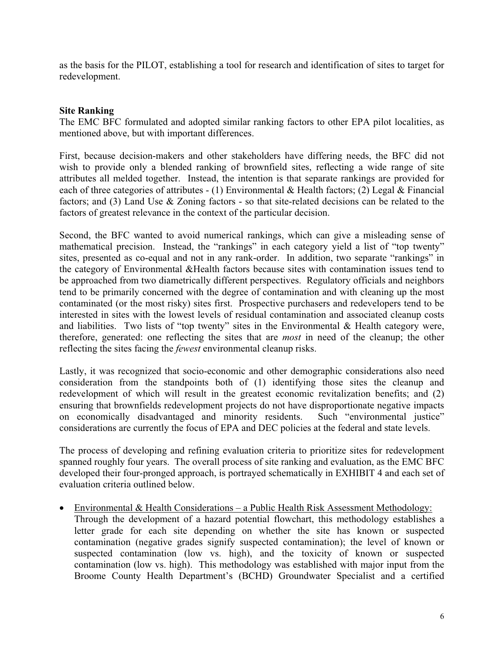as the basis for the PILOT, establishing a tool for research and identification of sites to target for redevelopment.

#### **Site Ranking**

The EMC BFC formulated and adopted similar ranking factors to other EPA pilot localities, as mentioned above, but with important differences.

First, because decision-makers and other stakeholders have differing needs, the BFC did not wish to provide only a blended ranking of brownfield sites, reflecting a wide range of site attributes all melded together. Instead, the intention is that separate rankings are provided for each of three categories of attributes - (1) Environmental & Health factors; (2) Legal & Financial factors; and (3) Land Use & Zoning factors - so that site-related decisions can be related to the factors of greatest relevance in the context of the particular decision.

Second, the BFC wanted to avoid numerical rankings, which can give a misleading sense of mathematical precision. Instead, the "rankings" in each category yield a list of "top twenty" sites, presented as co-equal and not in any rank-order. In addition, two separate "rankings" in the category of Environmental &Health factors because sites with contamination issues tend to be approached from two diametrically different perspectives. Regulatory officials and neighbors tend to be primarily concerned with the degree of contamination and with cleaning up the most contaminated (or the most risky) sites first. Prospective purchasers and redevelopers tend to be interested in sites with the lowest levels of residual contamination and associated cleanup costs and liabilities. Two lists of "top twenty" sites in the Environmental & Health category were, therefore, generated: one reflecting the sites that are *most* in need of the cleanup; the other reflecting the sites facing the *fewest* environmental cleanup risks.

Lastly, it was recognized that socio-economic and other demographic considerations also need consideration from the standpoints both of (1) identifying those sites the cleanup and redevelopment of which will result in the greatest economic revitalization benefits; and (2) ensuring that brownfields redevelopment projects do not have disproportionate negative impacts on economically disadvantaged and minority residents. Such "environmental justice" considerations are currently the focus of EPA and DEC policies at the federal and state levels.

The process of developing and refining evaluation criteria to prioritize sites for redevelopment spanned roughly four years. The overall process of site ranking and evaluation, as the EMC BFC developed their four-pronged approach, is portrayed schematically in EXHIBIT 4 and each set of evaluation criteria outlined below.

• Environmental & Health Considerations – a Public Health Risk Assessment Methodology: Through the development of a hazard potential flowchart, this methodology establishes a letter grade for each site depending on whether the site has known or suspected contamination (negative grades signify suspected contamination); the level of known or suspected contamination (low vs. high), and the toxicity of known or suspected contamination (low vs. high). This methodology was established with major input from the Broome County Health Department's (BCHD) Groundwater Specialist and a certified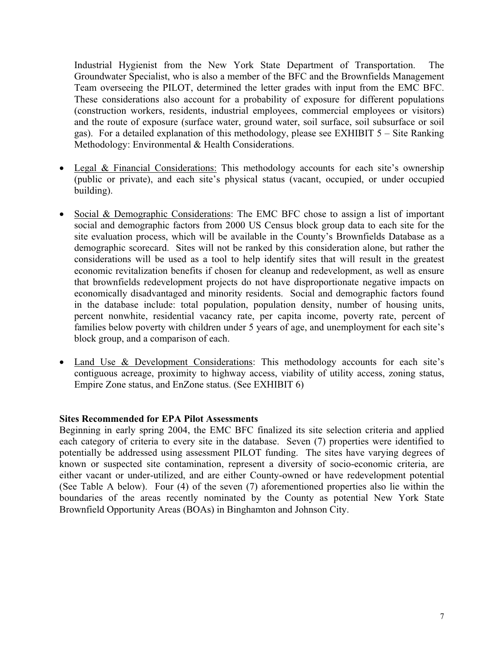Industrial Hygienist from the New York State Department of Transportation. The Groundwater Specialist, who is also a member of the BFC and the Brownfields Management Team overseeing the PILOT, determined the letter grades with input from the EMC BFC. These considerations also account for a probability of exposure for different populations (construction workers, residents, industrial employees, commercial employees or visitors) and the route of exposure (surface water, ground water, soil surface, soil subsurface or soil gas). For a detailed explanation of this methodology, please see EXHIBIT 5 – Site Ranking Methodology: Environmental & Health Considerations.

- Legal & Financial Considerations: This methodology accounts for each site's ownership (public or private), and each site's physical status (vacant, occupied, or under occupied building).
- Social & Demographic Considerations: The EMC BFC chose to assign a list of important social and demographic factors from 2000 US Census block group data to each site for the site evaluation process, which will be available in the County's Brownfields Database as a demographic scorecard. Sites will not be ranked by this consideration alone, but rather the considerations will be used as a tool to help identify sites that will result in the greatest economic revitalization benefits if chosen for cleanup and redevelopment, as well as ensure that brownfields redevelopment projects do not have disproportionate negative impacts on economically disadvantaged and minority residents. Social and demographic factors found in the database include: total population, population density, number of housing units, percent nonwhite, residential vacancy rate, per capita income, poverty rate, percent of families below poverty with children under 5 years of age, and unemployment for each site's block group, and a comparison of each.
- Land Use & Development Considerations: This methodology accounts for each site's contiguous acreage, proximity to highway access, viability of utility access, zoning status, Empire Zone status, and EnZone status. (See EXHIBIT 6)

#### **Sites Recommended for EPA Pilot Assessments**

Beginning in early spring 2004, the EMC BFC finalized its site selection criteria and applied each category of criteria to every site in the database. Seven (7) properties were identified to potentially be addressed using assessment PILOT funding. The sites have varying degrees of known or suspected site contamination, represent a diversity of socio-economic criteria, are either vacant or under-utilized, and are either County-owned or have redevelopment potential (See Table A below). Four (4) of the seven (7) aforementioned properties also lie within the boundaries of the areas recently nominated by the County as potential New York State Brownfield Opportunity Areas (BOAs) in Binghamton and Johnson City.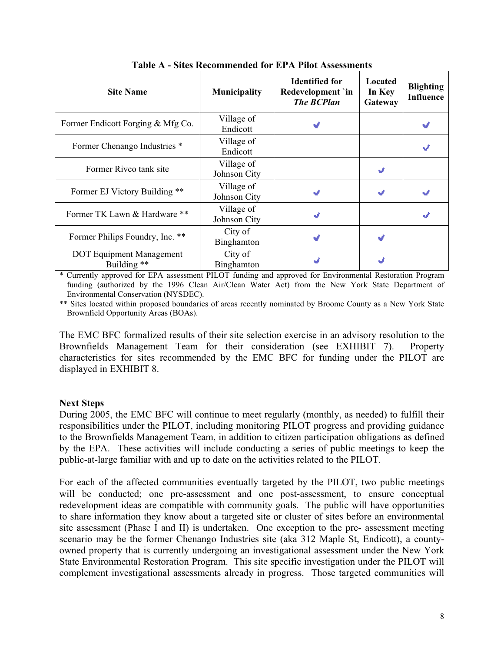| <b>Site Name</b>                               | <b>Municipality</b>        | <b>Identified for</b><br>Redevelopment `in<br><b>The BCPlan</b> | Located<br>In Key<br>Gateway | <b>Blighting</b><br><b>Influence</b> |
|------------------------------------------------|----------------------------|-----------------------------------------------------------------|------------------------------|--------------------------------------|
| Former Endicott Forging & Mfg Co.              | Village of<br>Endicott     |                                                                 |                              |                                      |
| Former Chenango Industries *                   | Village of<br>Endicott     |                                                                 |                              |                                      |
| Former Rivco tank site                         | Village of<br>Johnson City |                                                                 |                              |                                      |
| Former EJ Victory Building **                  | Village of<br>Johnson City |                                                                 |                              |                                      |
| Former TK Lawn & Hardware **                   | Village of<br>Johnson City | J                                                               |                              | кđ                                   |
| Former Philips Foundry, Inc. **                | City of<br>Binghamton      |                                                                 |                              |                                      |
| <b>DOT</b> Equipment Management<br>Building ** | City of<br>Binghamton      |                                                                 |                              |                                      |

**Table A - Sites Recommended for EPA Pilot Assessments** 

\* Currently approved for EPA assessment PILOT funding and approved for Environmental Restoration Program funding (authorized by the 1996 Clean Air/Clean Water Act) from the New York State Department of Environmental Conservation (NYSDEC).

\*\* Sites located within proposed boundaries of areas recently nominated by Broome County as a New York State Brownfield Opportunity Areas (BOAs).

The EMC BFC formalized results of their site selection exercise in an advisory resolution to the Brownfields Management Team for their consideration (see EXHIBIT 7). Property characteristics for sites recommended by the EMC BFC for funding under the PILOT are displayed in EXHIBIT 8.

#### **Next Steps**

During 2005, the EMC BFC will continue to meet regularly (monthly, as needed) to fulfill their responsibilities under the PILOT, including monitoring PILOT progress and providing guidance to the Brownfields Management Team, in addition to citizen participation obligations as defined by the EPA. These activities will include conducting a series of public meetings to keep the public-at-large familiar with and up to date on the activities related to the PILOT.

For each of the affected communities eventually targeted by the PILOT, two public meetings will be conducted; one pre-assessment and one post-assessment, to ensure conceptual redevelopment ideas are compatible with community goals. The public will have opportunities to share information they know about a targeted site or cluster of sites before an environmental site assessment (Phase I and II) is undertaken. One exception to the pre- assessment meeting scenario may be the former Chenango Industries site (aka 312 Maple St, Endicott), a countyowned property that is currently undergoing an investigational assessment under the New York State Environmental Restoration Program. This site specific investigation under the PILOT will complement investigational assessments already in progress. Those targeted communities will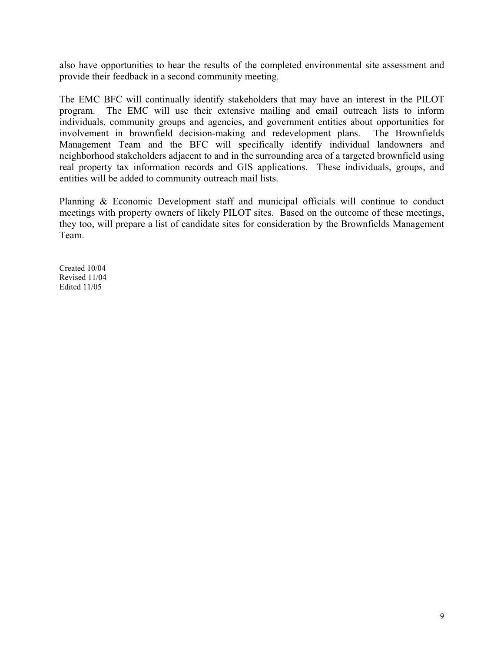also have opportunities to hear the results of the completed environmental site assessment and provide their feedback in a second community meeting.

The EMC BFC will continually identify stakeholders that may have an interest in the PILOT program. The EMC will use their extensive mailing and email outreach lists to inform individuals, community groups and agencies, and government entities about opportunities for involvement in brownfield decision-making and redevelopment plans. The Brownfields Management Team and the BFC will specifically identify individual landowners and neighborhood stakeholders adjacent to and in the surrounding area of a targeted brownfield using real property tax information records and GIS applications. These individuals, groups, and entities will be added to community outreach mail lists.

Planning & Economic Development staff and municipal officials will continue to conduct meetings with property owners of likely PILOT sites. Based on the outcome of these meetings, they too, will prepare a list of candidate sites for consideration by the Brownfields Management Team.

Created 10/04 Revised 11/04 Edited 11/05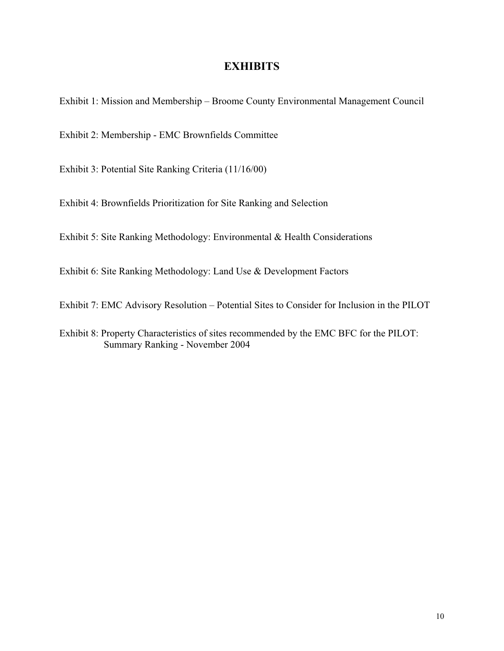Exhibit 1: Mission and Membership – Broome County Environmental Management Council

Exhibit 2: Membership - EMC Brownfields Committee

Exhibit 3: Potential Site Ranking Criteria (11/16/00)

Exhibit 4: Brownfields Prioritization for Site Ranking and Selection

Exhibit 5: Site Ranking Methodology: Environmental & Health Considerations

Exhibit 6: Site Ranking Methodology: Land Use & Development Factors

Exhibit 7: EMC Advisory Resolution – Potential Sites to Consider for Inclusion in the PILOT

Exhibit 8: Property Characteristics of sites recommended by the EMC BFC for the PILOT: Summary Ranking - November 2004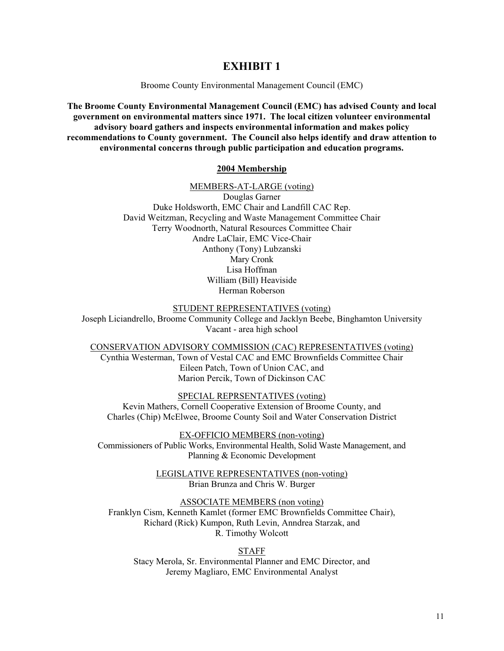Broome County Environmental Management Council (EMC)

**The Broome County Environmental Management Council (EMC) has advised County and local government on environmental matters since 1971. The local citizen volunteer environmental advisory board gathers and inspects environmental information and makes policy recommendations to County government. The Council also helps identify and draw attention to environmental concerns through public participation and education programs.** 

#### **2004 Membership**

MEMBERS-AT-LARGE (voting) Douglas Garner Duke Holdsworth, EMC Chair and Landfill CAC Rep. David Weitzman, Recycling and Waste Management Committee Chair Terry Woodnorth, Natural Resources Committee Chair Andre LaClair, EMC Vice-Chair Anthony (Tony) Lubzanski Mary Cronk Lisa Hoffman William (Bill) Heaviside Herman Roberson

#### STUDENT REPRESENTATIVES (voting)

Joseph Liciandrello, Broome Community College and Jacklyn Beebe, Binghamton University Vacant - area high school

CONSERVATION ADVISORY COMMISSION (CAC) REPRESENTATIVES (voting) Cynthia Westerman, Town of Vestal CAC and EMC Brownfields Committee Chair Eileen Patch, Town of Union CAC, and Marion Percik, Town of Dickinson CAC

SPECIAL REPRSENTATIVES (voting) Kevin Mathers, Cornell Cooperative Extension of Broome County, and Charles (Chip) McElwee, Broome County Soil and Water Conservation District

EX-OFFICIO MEMBERS (non-voting) Commissioners of Public Works, Environmental Health, Solid Waste Management, and Planning & Economic Development

> LEGISLATIVE REPRESENTATIVES (non-voting) Brian Brunza and Chris W. Burger

ASSOCIATE MEMBERS (non voting) Franklyn Cism, Kenneth Kamlet (former EMC Brownfields Committee Chair), Richard (Rick) Kumpon, Ruth Levin, Anndrea Starzak, and R. Timothy Wolcott

STAFF Stacy Merola, Sr. Environmental Planner and EMC Director, and Jeremy Magliaro, EMC Environmental Analyst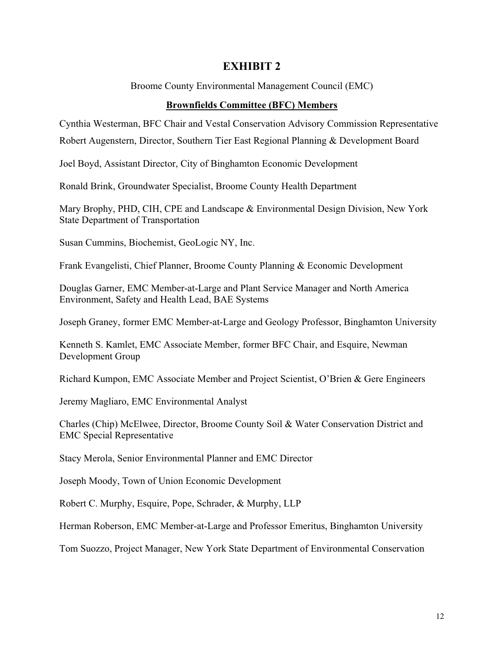Broome County Environmental Management Council (EMC)

#### **Brownfields Committee (BFC) Members**

Cynthia Westerman, BFC Chair and Vestal Conservation Advisory Commission Representative

Robert Augenstern, Director, Southern Tier East Regional Planning & Development Board

Joel Boyd, Assistant Director, City of Binghamton Economic Development

Ronald Brink, Groundwater Specialist, Broome County Health Department

Mary Brophy, PHD, CIH, CPE and Landscape & Environmental Design Division, New York State Department of Transportation

Susan Cummins, Biochemist, GeoLogic NY, Inc.

Frank Evangelisti, Chief Planner, Broome County Planning & Economic Development

Douglas Garner, EMC Member-at-Large and Plant Service Manager and North America Environment, Safety and Health Lead, BAE Systems

Joseph Graney, former EMC Member-at-Large and Geology Professor, Binghamton University

Kenneth S. Kamlet, EMC Associate Member, former BFC Chair, and Esquire, Newman Development Group

Richard Kumpon, EMC Associate Member and Project Scientist, O'Brien & Gere Engineers

Jeremy Magliaro, EMC Environmental Analyst

Charles (Chip) McElwee, Director, Broome County Soil & Water Conservation District and EMC Special Representative

Stacy Merola, Senior Environmental Planner and EMC Director

Joseph Moody, Town of Union Economic Development

Robert C. Murphy, Esquire, Pope, Schrader, & Murphy, LLP

Herman Roberson, EMC Member-at-Large and Professor Emeritus, Binghamton University

Tom Suozzo, Project Manager, New York State Department of Environmental Conservation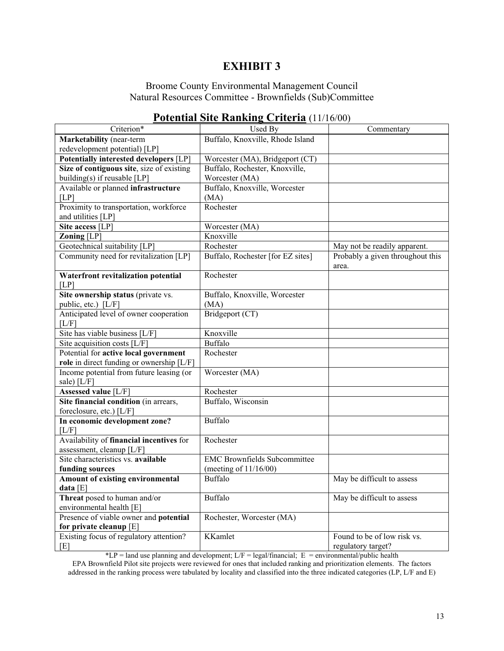#### Broome County Environmental Management Council Natural Resources Committee - Brownfields (Sub)Committee

| Criterion*                                  | Used By                             | Commentary                                |
|---------------------------------------------|-------------------------------------|-------------------------------------------|
| Marketability (near-term                    | Buffalo, Knoxville, Rhode Island    |                                           |
| redevelopment potential) [LP]               |                                     |                                           |
| Potentially interested developers [LP]      | Worcester (MA), Bridgeport (CT)     |                                           |
| Size of contiguous site, size of existing   | Buffalo, Rochester, Knoxville,      |                                           |
| building(s) if reusable [LP]                | Worcester (MA)                      |                                           |
| Available or planned infrastructure         | Buffalo, Knoxville, Worcester       |                                           |
| [LP]                                        | (MA)                                |                                           |
| Proximity to transportation, workforce      | Rochester                           |                                           |
| and utilities [LP]                          |                                     |                                           |
| Site access [LP]                            | Worcester (MA)                      |                                           |
| Zoning [LP]                                 | Knoxville                           |                                           |
| Geotechnical suitability [LP]               | Rochester                           | May not be readily apparent.              |
| Community need for revitalization [LP]      | Buffalo, Rochester [for EZ sites]   | Probably a given throughout this<br>area. |
| Waterfront revitalization potential<br>[LP] | Rochester                           |                                           |
| Site ownership status (private vs.          | Buffalo, Knoxville, Worcester       |                                           |
| public, etc.) [L/F]                         | (MA)                                |                                           |
| Anticipated level of owner cooperation      | Bridgeport (CT)                     |                                           |
| [L/F]                                       |                                     |                                           |
| Site has viable business [L/F]              | Knoxville                           |                                           |
| Site acquisition costs [L/F]                | <b>Buffalo</b>                      |                                           |
| Potential for active local government       | Rochester                           |                                           |
| role in direct funding or ownership [L/F]   |                                     |                                           |
| Income potential from future leasing (or    | Worcester (MA)                      |                                           |
| sale) [L/F]                                 |                                     |                                           |
| Assessed value [L/F]                        | Rochester                           |                                           |
| Site financial condition (in arrears,       | Buffalo, Wisconsin                  |                                           |
| foreclosure, etc.) [L/F]                    |                                     |                                           |
| In economic development zone?<br>[L/F]      | <b>Buffalo</b>                      |                                           |
| Availability of financial incentives for    | Rochester                           |                                           |
| assessment, cleanup [L/F]                   |                                     |                                           |
| Site characteristics vs. available          | <b>EMC Brownfields Subcommittee</b> |                                           |
| funding sources                             | (meeting of $11/16/00$ )            |                                           |
| Amount of existing environmental            | <b>Buffalo</b>                      | May be difficult to assess                |
| data [E]                                    |                                     |                                           |
| Threat posed to human and/or                | <b>Buffalo</b>                      | May be difficult to assess                |
| environmental health [E]                    |                                     |                                           |
| Presence of viable owner and potential      | Rochester, Worcester (MA)           |                                           |
| for private cleanup [E]                     |                                     |                                           |
| Existing focus of regulatory attention?     | <b>KKamlet</b>                      | Found to be of low risk vs.               |
| [E]                                         |                                     | regulatory target?                        |

### **Potential Site Ranking Criteria** (11/16/00)

 $*LP =$  land use planning and development;  $L/F =$  legal/financial;  $E =$  environmental/public health

EPA Brownfield Pilot site projects were reviewed for ones that included ranking and prioritization elements. The factors addressed in the ranking process were tabulated by locality and classified into the three indicated categories (LP, L/F and E)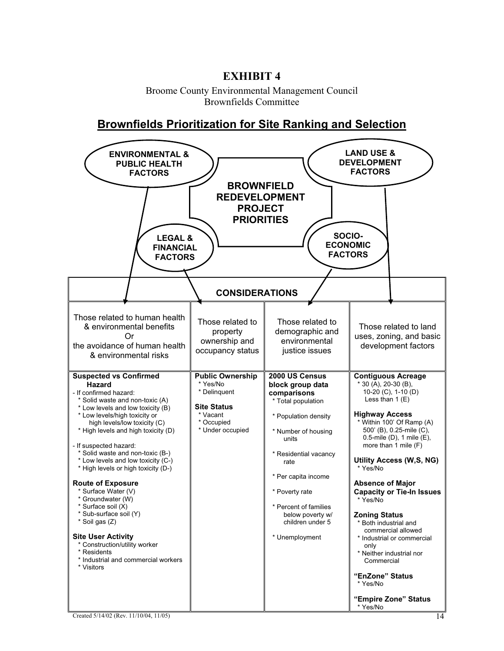Broome County Environmental Management Council Brownfields Committee

**Brownfields Prioritization for Site Ranking and Selection**

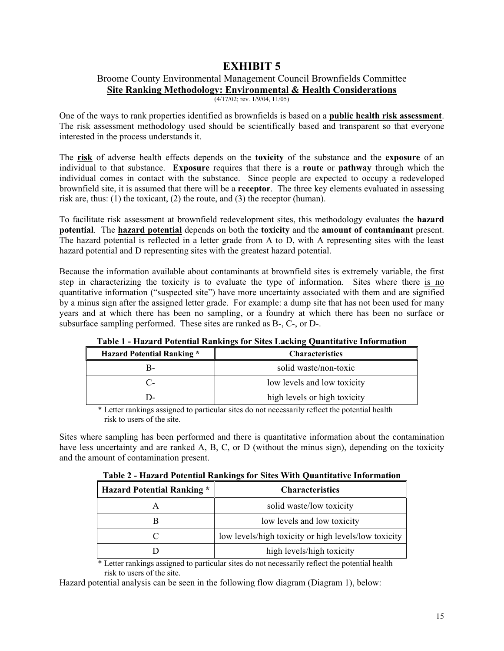## Broome County Environmental Management Council Brownfields Committee

**Site Ranking Methodology: Environmental & Health Considerations**

 $(4/17/02;$  rev.  $1/9/04, 11/05)$ 

One of the ways to rank properties identified as brownfields is based on a **public health risk assessment**. The risk assessment methodology used should be scientifically based and transparent so that everyone interested in the process understands it.

The **risk** of adverse health effects depends on the **toxicity** of the substance and the **exposure** of an individual to that substance. **Exposure** requires that there is a **route** or **pathway** through which the individual comes in contact with the substance. Since people are expected to occupy a redeveloped brownfield site, it is assumed that there will be a **receptor**. The three key elements evaluated in assessing risk are, thus: (1) the toxicant, (2) the route, and (3) the receptor (human).

To facilitate risk assessment at brownfield redevelopment sites, this methodology evaluates the **hazard potential**. The **hazard potential** depends on both the **toxicity** and the **amount of contaminant** present. The hazard potential is reflected in a letter grade from A to D, with A representing sites with the least hazard potential and D representing sites with the greatest hazard potential.

Because the information available about contaminants at brownfield sites is extremely variable, the first step in characterizing the toxicity is to evaluate the type of information. Sites where there is no quantitative information ("suspected site") have more uncertainty associated with them and are signified by a minus sign after the assigned letter grade. For example: a dump site that has not been used for many years and at which there has been no sampling, or a foundry at which there has been no surface or subsurface sampling performed. These sites are ranked as B-, C-, or D-.

|                                   | Table T - Hazaru I otential Kalikings for Shes Lacking Quantitative Hilbi mation |
|-----------------------------------|----------------------------------------------------------------------------------|
| <b>Hazard Potential Ranking *</b> | <b>Characteristics</b>                                                           |
| в-                                | solid waste/non-toxic                                                            |
|                                   | low levels and low toxicity                                                      |
| l )-                              | high levels or high toxicity                                                     |

**Table 1 - Hazard Potential Rankings for Sites Lacking Quantitative Information** 

\* Letter rankings assigned to particular sites do not necessarily reflect the potential health risk to users of the site.

Sites where sampling has been performed and there is quantitative information about the contamination have less uncertainty and are ranked A, B, C, or D (without the minus sign), depending on the toxicity and the amount of contamination present.

|  |  | Table 2 - Hazard Potential Rankings for Sites With Quantitative Information |  |  |  |  |
|--|--|-----------------------------------------------------------------------------|--|--|--|--|
|--|--|-----------------------------------------------------------------------------|--|--|--|--|

| <b>Hazard Potential Ranking *</b> | <b>Characteristics</b>                               |
|-----------------------------------|------------------------------------------------------|
|                                   | solid waste/low toxicity                             |
|                                   | low levels and low toxicity                          |
|                                   | low levels/high toxicity or high levels/low toxicity |
|                                   | high levels/high toxicity                            |

\* Letter rankings assigned to particular sites do not necessarily reflect the potential health risk to users of the site.

Hazard potential analysis can be seen in the following flow diagram (Diagram 1), below: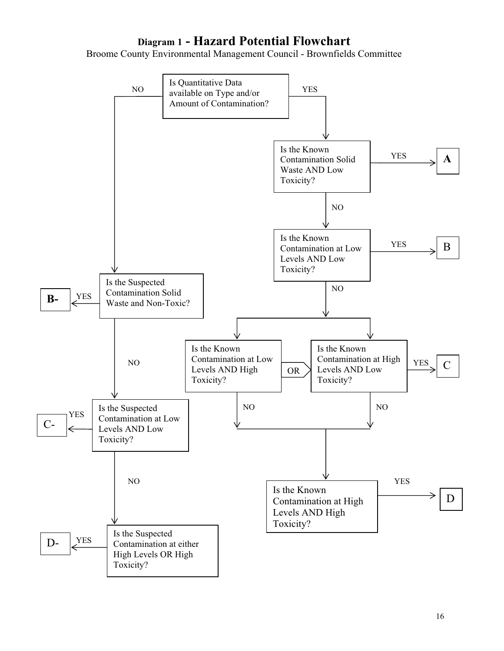## **Diagram 1 - Hazard Potential Flowchart**

Broome County Environmental Management Council - Brownfields Committee

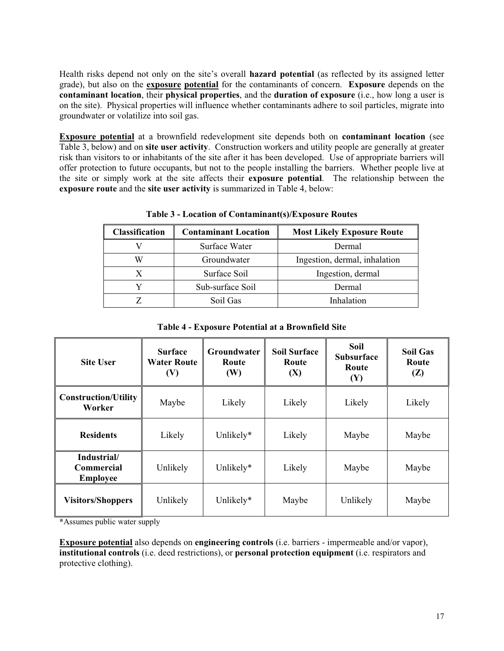Health risks depend not only on the site's overall **hazard potential** (as reflected by its assigned letter grade), but also on the **exposure potential** for the contaminants of concern. **Exposure** depends on the **contaminant location**, their **physical properties**, and the **duration of exposure** (i.e., how long a user is on the site). Physical properties will influence whether contaminants adhere to soil particles, migrate into groundwater or volatilize into soil gas.

**Exposure potential** at a brownfield redevelopment site depends both on **contaminant location** (see Table 3, below) and on **site user activity**. Construction workers and utility people are generally at greater risk than visitors to or inhabitants of the site after it has been developed. Use of appropriate barriers will offer protection to future occupants, but not to the people installing the barriers. Whether people live at the site or simply work at the site affects their **exposure potential**. The relationship between the **exposure route** and the **site user activity** is summarized in Table 4, below:

| <b>Classification</b> | <b>Contaminant Location</b> | <b>Most Likely Exposure Route</b> |
|-----------------------|-----------------------------|-----------------------------------|
|                       | Surface Water               | Dermal                            |
| W                     | Groundwater                 | Ingestion, dermal, inhalation     |
|                       | Surface Soil                | Ingestion, dermal                 |
|                       | Sub-surface Soil            | Dermal                            |
|                       | Soil Gas                    | Inhalation                        |

**Table 3 - Location of Contaminant(s)/Exposure Routes** 

**Table 4 - Exposure Potential at a Brownfield Site** 

| <b>Site User</b>                             | <b>Surface</b><br><b>Water Route</b><br>(V) | <b>Groundwater</b><br>Route<br>(W) | <b>Soil Surface</b><br>Route<br>(X) | Soil<br><b>Subsurface</b><br>Route<br>(Y) | <b>Soil Gas</b><br>Route<br>(Z) |
|----------------------------------------------|---------------------------------------------|------------------------------------|-------------------------------------|-------------------------------------------|---------------------------------|
| <b>Construction/Utility</b><br>Worker        | Maybe                                       | Likely                             | Likely                              | Likely                                    | Likely                          |
| <b>Residents</b>                             | Likely                                      | Unlikely*                          | Likely                              | Maybe                                     | Maybe                           |
| Industrial/<br>Commercial<br><b>Employee</b> | Unlikely                                    | Unlikely*                          | Likely                              | Maybe                                     | Maybe                           |
| <b>Visitors/Shoppers</b>                     | Unlikely                                    | Unlikely*                          | Maybe                               | Unlikely                                  | Maybe                           |

**\***Assumes public water supply

**Exposure potential** also depends on **engineering controls** (i.e. barriers - impermeable and/or vapor), **institutional controls** (i.e. deed restrictions), or **personal protection equipment** (i.e. respirators and protective clothing).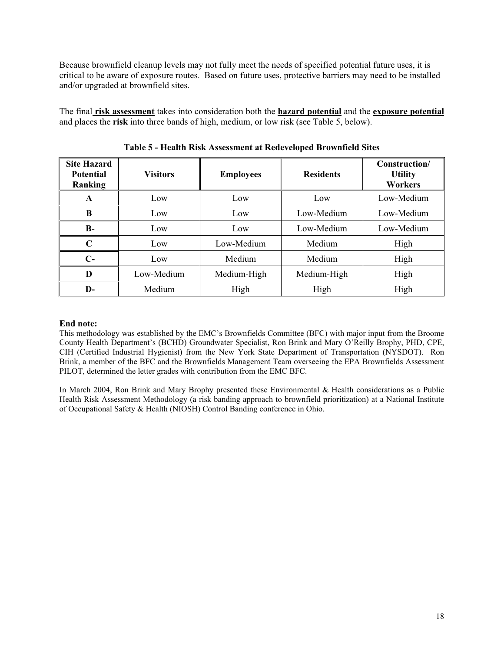Because brownfield cleanup levels may not fully meet the needs of specified potential future uses, it is critical to be aware of exposure routes. Based on future uses, protective barriers may need to be installed and/or upgraded at brownfield sites.

The final **risk assessment** takes into consideration both the **hazard potential** and the **exposure potential** and places the **risk** into three bands of high, medium, or low risk (see Table 5, below).

| <b>Site Hazard</b><br><b>Potential</b><br>Ranking | <b>Visitors</b> | <b>Employees</b> | <b>Residents</b> | Construction/<br><b>Utility</b><br><b>Workers</b> |
|---------------------------------------------------|-----------------|------------------|------------------|---------------------------------------------------|
| A                                                 | Low             | Low              | Low              | Low-Medium                                        |
| B                                                 | Low             | Low              | Low-Medium       | Low-Medium                                        |
| <b>B-</b>                                         | Low             | Low              | Low-Medium       | Low-Medium                                        |
| $\mathbf C$                                       | Low             | Low-Medium       | Medium           | High                                              |
| $C-$                                              | Low             | Medium           | Medium           | High                                              |
| D                                                 | Low-Medium      | Medium-High      | Medium-High      | High                                              |
| D-                                                | Medium          | High             | High             | High                                              |

**Table 5 - Health Risk Assessment at Redeveloped Brownfield Sites** 

#### **End note:**

This methodology was established by the EMC's Brownfields Committee (BFC) with major input from the Broome County Health Department's (BCHD) Groundwater Specialist, Ron Brink and Mary O'Reilly Brophy, PHD, CPE, CIH (Certified Industrial Hygienist) from the New York State Department of Transportation (NYSDOT). Ron Brink, a member of the BFC and the Brownfields Management Team overseeing the EPA Brownfields Assessment PILOT, determined the letter grades with contribution from the EMC BFC.

In March 2004, Ron Brink and Mary Brophy presented these Environmental & Health considerations as a Public Health Risk Assessment Methodology (a risk banding approach to brownfield prioritization) at a National Institute of Occupational Safety & Health (NIOSH) Control Banding conference in Ohio.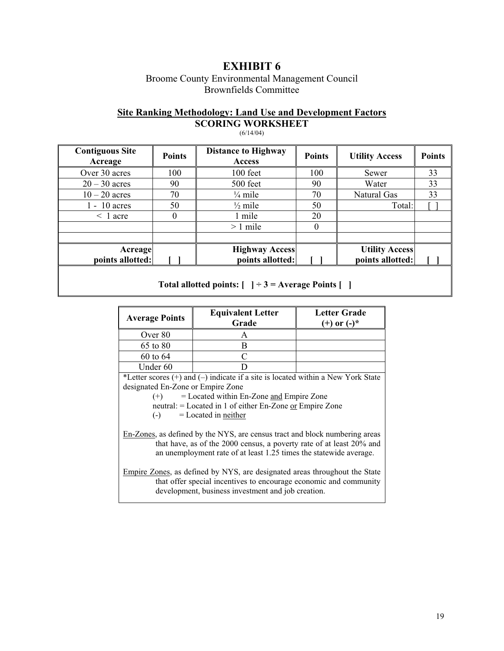Broome County Environmental Management Council Brownfields Committee

### **Site Ranking Methodology: Land Use and Development Factors SCORING WORKSHEET**

| <b>Contiguous Site</b><br>Acreage | <b>Points</b> | <b>Distance to Highway</b><br>Access | <b>Points</b> | <b>Utility Access</b> | <b>Points</b> |
|-----------------------------------|---------------|--------------------------------------|---------------|-----------------------|---------------|
| Over 30 acres                     | 100           | $100$ feet                           | 100           | Sewer                 | 33            |
| $20 - 30$ acres                   | 90            | 500 feet                             | 90            | Water                 | 33            |
| $10 - 20$ acres                   | 70            | $\frac{1}{4}$ mile                   | 70            | Natural Gas           | 33            |
| $1 - 10$ acres                    | 50            | $\frac{1}{2}$ mile                   | 50            | Total:                |               |
| $\leq 1$ acre                     | 0             | 1 mile                               | 20            |                       |               |
|                                   |               | $>1$ mile                            | $\theta$      |                       |               |
|                                   |               |                                      |               |                       |               |
| Acreage                           |               | <b>Highway Access</b>                |               | <b>Utility Access</b> |               |
| points allotted:                  |               | points allotted:                     |               | points allotted:      |               |
|                                   |               |                                      |               |                       |               |

(6/14/04)

#### **Total allotted points: [ ] ÷ 3 = Average Points [ ]**

| <b>Average Points</b>                               | <b>Equivalent Letter</b><br>Grade                                                                                                                                                                                        | <b>Letter Grade</b><br>$(+)$ or $(-)^*$ |
|-----------------------------------------------------|--------------------------------------------------------------------------------------------------------------------------------------------------------------------------------------------------------------------------|-----------------------------------------|
| Over 80                                             | A                                                                                                                                                                                                                        |                                         |
| 65 to 80                                            | B                                                                                                                                                                                                                        |                                         |
| 60 to 64                                            |                                                                                                                                                                                                                          |                                         |
| Under 60                                            |                                                                                                                                                                                                                          |                                         |
| designated En-Zone or Empire Zone<br>$(+)$<br>$(-)$ | *Letter scores $(+)$ and $(-)$ indicate if a site is located within a New York State<br>$=$ Located within En-Zone and Empire Zone<br>neutral: = Located in 1 of either En-Zone or Empire Zone<br>$=$ Located in neither |                                         |
|                                                     | En-Zones, as defined by the NYS, are census tract and block numbering areas<br>that have, as of the 2000 census, a poverty rate of at least $20\%$ and                                                                   |                                         |

that have, as of the 2000 census, a poverty rate of at least 20% and an unemployment rate of at least 1.25 times the statewide average.

Empire Zones, as defined by NYS, are designated areas throughout the State that offer special incentives to encourage economic and community development, business investment and job creation.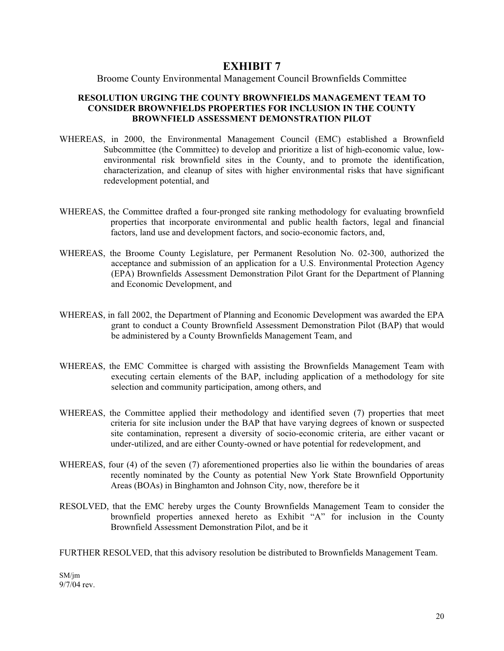#### Broome County Environmental Management Council Brownfields Committee

#### **RESOLUTION URGING THE COUNTY BROWNFIELDS MANAGEMENT TEAM TO CONSIDER BROWNFIELDS PROPERTIES FOR INCLUSION IN THE COUNTY BROWNFIELD ASSESSMENT DEMONSTRATION PILOT**

- WHEREAS, in 2000, the Environmental Management Council (EMC) established a Brownfield Subcommittee (the Committee) to develop and prioritize a list of high-economic value, lowenvironmental risk brownfield sites in the County, and to promote the identification, characterization, and cleanup of sites with higher environmental risks that have significant redevelopment potential, and
- WHEREAS, the Committee drafted a four-pronged site ranking methodology for evaluating brownfield properties that incorporate environmental and public health factors, legal and financial factors, land use and development factors, and socio-economic factors, and,
- WHEREAS, the Broome County Legislature, per Permanent Resolution No. 02-300, authorized the acceptance and submission of an application for a U.S. Environmental Protection Agency (EPA) Brownfields Assessment Demonstration Pilot Grant for the Department of Planning and Economic Development, and
- WHEREAS, in fall 2002, the Department of Planning and Economic Development was awarded the EPA grant to conduct a County Brownfield Assessment Demonstration Pilot (BAP) that would be administered by a County Brownfields Management Team, and
- WHEREAS, the EMC Committee is charged with assisting the Brownfields Management Team with executing certain elements of the BAP, including application of a methodology for site selection and community participation, among others, and
- WHEREAS, the Committee applied their methodology and identified seven (7) properties that meet criteria for site inclusion under the BAP that have varying degrees of known or suspected site contamination, represent a diversity of socio-economic criteria, are either vacant or under-utilized, and are either County-owned or have potential for redevelopment, and
- WHEREAS, four (4) of the seven (7) aforementioned properties also lie within the boundaries of areas recently nominated by the County as potential New York State Brownfield Opportunity Areas (BOAs) in Binghamton and Johnson City, now, therefore be it
- RESOLVED, that the EMC hereby urges the County Brownfields Management Team to consider the brownfield properties annexed hereto as Exhibit "A" for inclusion in the County Brownfield Assessment Demonstration Pilot, and be it

FURTHER RESOLVED, that this advisory resolution be distributed to Brownfields Management Team.

SM/jm 9/7/04 rev.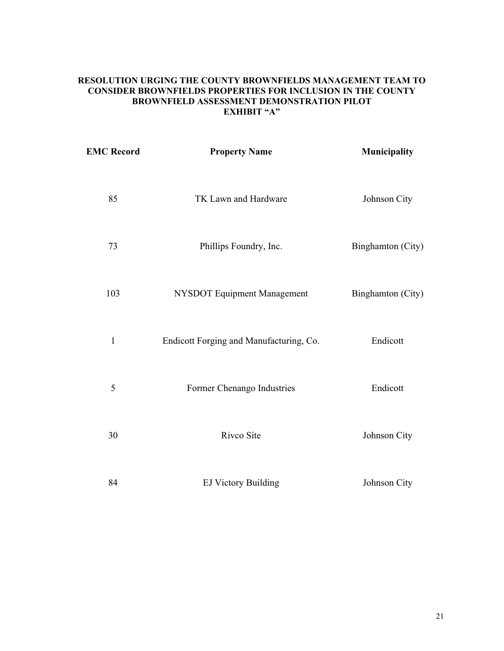#### **RESOLUTION URGING THE COUNTY BROWNFIELDS MANAGEMENT TEAM TO CONSIDER BROWNFIELDS PROPERTIES FOR INCLUSION IN THE COUNTY BROWNFIELD ASSESSMENT DEMONSTRATION PILOT EXHIBIT "A"**

| <b>EMC Record</b> | <b>Property Name</b>                    | Municipality      |
|-------------------|-----------------------------------------|-------------------|
| 85                | TK Lawn and Hardware                    | Johnson City      |
| 73                | Phillips Foundry, Inc.                  | Binghamton (City) |
| 103               | NYSDOT Equipment Management             | Binghamton (City) |
| $\mathbf{1}$      | Endicott Forging and Manufacturing, Co. | Endicott          |
| 5                 | Former Chenango Industries              | Endicott          |
| 30                | Rivco Site                              | Johnson City      |
| 84                | <b>EJ Victory Building</b>              | Johnson City      |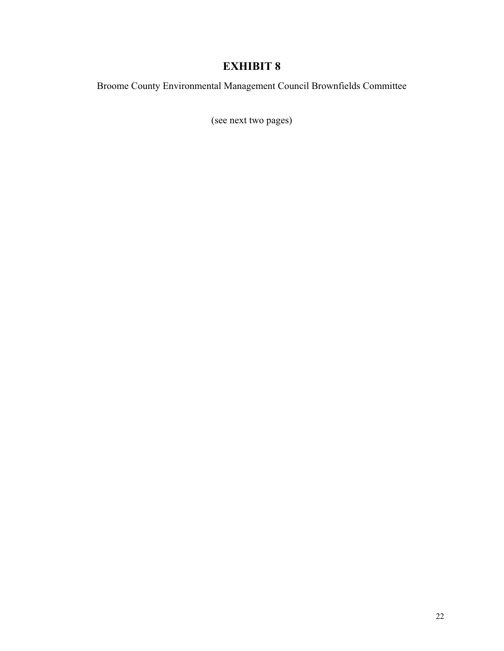Broome County Environmental Management Council Brownfields Committee

(see next two pages)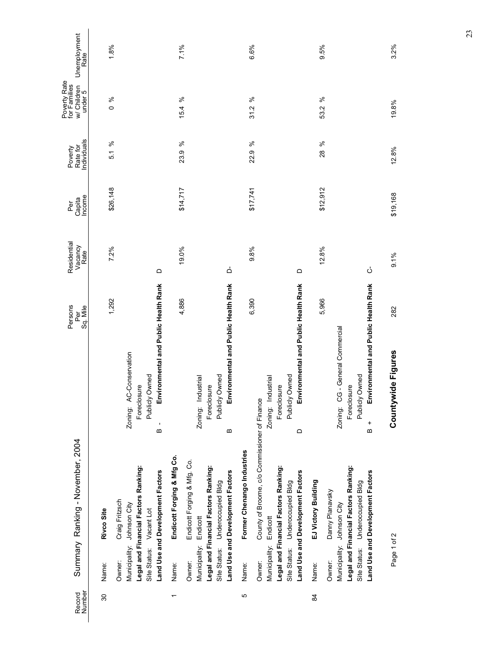| Record<br>Number         |                        | Summary Ranking - November, 2004                                        |                                                                    | Persons<br>Sq. Mile<br>Per | Residential<br>Vacancy<br>Rate | Income<br>Capita<br>per<br>P | ndividuals<br>Rate for<br>Poverty | Poverty Rate<br>for Families<br>w/ Children<br>under 5 | Unemployment<br>Rate |
|--------------------------|------------------------|-------------------------------------------------------------------------|--------------------------------------------------------------------|----------------------------|--------------------------------|------------------------------|-----------------------------------|--------------------------------------------------------|----------------------|
| $\overline{30}$          | Name:                  | Rivco Site                                                              |                                                                    | 1,292                      | 7.2%                           | \$26,148                     | ಸಿ<br>5.1                         | $\frac{6}{6}$                                          | 1.8%                 |
|                          | Owner:                 | Craig Fritzsch<br>Municipality: Johnson City                            | Zoning: AC-Conservation                                            |                            |                                |                              |                                   |                                                        |                      |
|                          |                        | Legal and Financial Factors Ranking:<br>Site Status: Vacant Lot         | Publicly Owned<br>Foreclosure                                      |                            |                                |                              |                                   |                                                        |                      |
|                          |                        | Land Use and Development Factors                                        | Environmental and Public Health Rank<br>٠<br>$\boldsymbol{\omega}$ |                            | $\Omega$                       |                              |                                   |                                                        |                      |
| $\overline{\phantom{0}}$ | Name:                  | Endicott Forging & Mfg Co.                                              |                                                                    | 4,886                      | 19.0%                          | \$14,717                     | ಸಿ<br>23.9                        | ಸಿ<br>15.4                                             | 7.1%                 |
|                          | Owner:                 | Endicott Forging & Mfg. Co.                                             |                                                                    |                            |                                |                              |                                   |                                                        |                      |
|                          | Municipality: Endicott | Legal and Financial Factors Ranking:                                    | Zoning: Industrial<br>Foreclosure                                  |                            |                                |                              |                                   |                                                        |                      |
|                          |                        | Site Status: Underoccupied Bldg                                         | Publicly Owned                                                     |                            |                                |                              |                                   |                                                        |                      |
|                          |                        | Land Use and Development Factors                                        | Environmental and Public Health Rank<br>m                          |                            | ó                              |                              |                                   |                                                        |                      |
| Ю                        | Name:                  | Former Chenango Industries                                              |                                                                    | 6,390                      | 9.8%                           | \$17,741                     | ಸಿ<br>22.9                        | ಸಿ<br>31.2                                             | 6.6%                 |
|                          | Owner:                 | County of Broome, c/o Commissioner of Finance                           |                                                                    |                            |                                |                              |                                   |                                                        |                      |
|                          | Municipality: Endicott |                                                                         | Zoning: Industrial                                                 |                            |                                |                              |                                   |                                                        |                      |
|                          |                        | Legal and Financial Factors Ranking:                                    | Foreclosure                                                        |                            |                                |                              |                                   |                                                        |                      |
|                          |                        | Land Use and Development Factors<br>Site Status: Underoccupied Bldg     | Environmental and Public Health Rank<br>Publicly Owned<br>≏        |                            | $\Omega$                       |                              |                                   |                                                        |                      |
| 84                       | Name:                  | EJ Victory Building                                                     |                                                                    | 5,966                      | 12.8%                          | \$12,912                     | ಸಿ<br>28                          | ಸಿ<br>53.2                                             | 9.5%                 |
|                          | Owner:                 | Danny Planavsky                                                         |                                                                    |                            |                                |                              |                                   |                                                        |                      |
|                          |                        | Municipality: Johnson City                                              | Zoning: CG - General Commercial                                    |                            |                                |                              |                                   |                                                        |                      |
|                          |                        | Legal and Financial Factors Ranking:<br>Site Status: Underoccupied Bldg | Publicly Owned<br>Foreclosure                                      |                            |                                |                              |                                   |                                                        |                      |
|                          |                        | Land Use and Development Factors                                        | Environmental and Public Health Rank<br>$\frac{+}{6}$              |                            | ڻ                              |                              |                                   |                                                        |                      |
|                          |                        |                                                                         |                                                                    |                            |                                |                              |                                   |                                                        |                      |
|                          | Page 1 of 2            |                                                                         | Countywide Figures                                                 | 282                        | 9.1%                           | \$19,168                     | 12.8%                             | 19.8%                                                  | 3.2%                 |

23